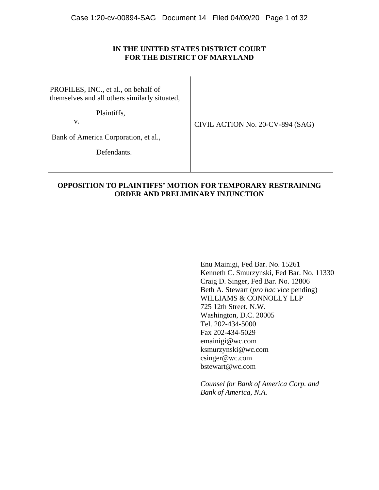# **IN THE UNITED STATES DISTRICT COURT FOR THE DISTRICT OF MARYLAND**

PROFILES, INC., et al., on behalf of themselves and all others similarly situated,

Plaintiffs,

v.

CIVIL ACTION No. 20-CV-894 (SAG)

Bank of America Corporation, et al.,

Defendants.

# **OPPOSITION TO PLAINTIFFS' MOTION FOR TEMPORARY RESTRAINING ORDER AND PRELIMINARY INJUNCTION**

Enu Mainigi, Fed Bar. No. 15261 Kenneth C. Smurzynski, Fed Bar. No. 11330 Craig D. Singer, Fed Bar. No. 12806 Beth A. Stewart (*pro hac vice* pending) WILLIAMS & CONNOLLY LLP 725 12th Street, N.W. Washington, D.C. 20005 Tel. 202-434-5000 Fax 202-434-5029 emainigi@wc.com ksmurzynski@wc.com csinger@wc.com bstewart@wc.com

*Counsel for Bank of America Corp. and Bank of America, N.A.*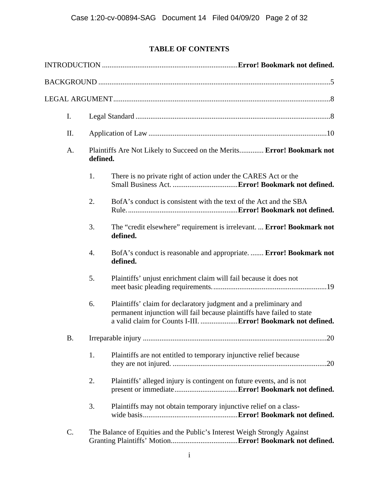# **TABLE OF CONTENTS**

| I. |                                                                                    |                                                                                                                                                                                                             |  |
|----|------------------------------------------------------------------------------------|-------------------------------------------------------------------------------------------------------------------------------------------------------------------------------------------------------------|--|
| Π. |                                                                                    |                                                                                                                                                                                                             |  |
| A. | Plaintiffs Are Not Likely to Succeed on the Merits Error! Bookmark not<br>defined. |                                                                                                                                                                                                             |  |
|    | 1.                                                                                 | There is no private right of action under the CARES Act or the                                                                                                                                              |  |
|    | 2.                                                                                 | BofA's conduct is consistent with the text of the Act and the SBA                                                                                                                                           |  |
|    | 3.                                                                                 | The "credit elsewhere" requirement is irrelevant.  Error! Bookmark not<br>defined.                                                                                                                          |  |
|    | 4.                                                                                 | BofA's conduct is reasonable and appropriate.  Error! Bookmark not<br>defined.                                                                                                                              |  |
|    | 5.                                                                                 | Plaintiffs' unjust enrichment claim will fail because it does not                                                                                                                                           |  |
|    | 6.                                                                                 | Plaintiffs' claim for declaratory judgment and a preliminary and<br>permanent injunction will fail because plaintiffs have failed to state<br>a valid claim for Counts I-III.  Error! Bookmark not defined. |  |
| В. |                                                                                    |                                                                                                                                                                                                             |  |
|    | 1.                                                                                 | Plaintiffs are not entitled to temporary injunctive relief because                                                                                                                                          |  |
|    | 2.                                                                                 | Plaintiffs' alleged injury is contingent on future events, and is not                                                                                                                                       |  |
|    | 3.                                                                                 | Plaintiffs may not obtain temporary injunctive relief on a class-                                                                                                                                           |  |
| C. |                                                                                    | The Balance of Equities and the Public's Interest Weigh Strongly Against                                                                                                                                    |  |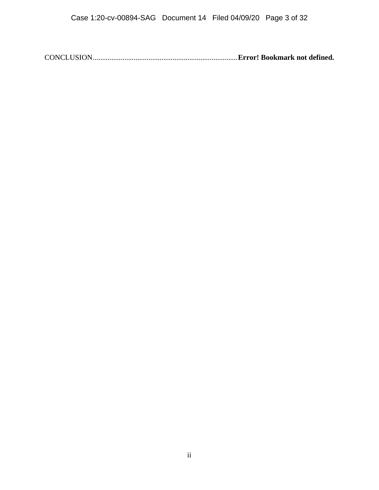CONCLUSION .............................................................................. **Error! Bookmark not defined.**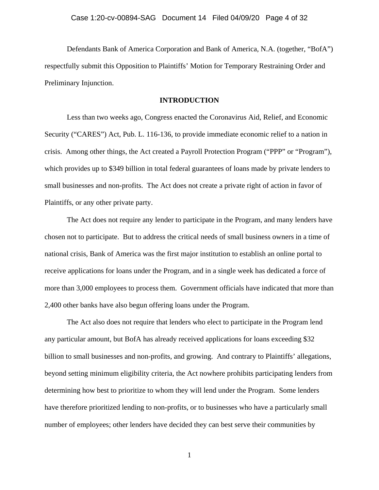Defendants Bank of America Corporation and Bank of America, N.A. (together, "BofA") respectfully submit this Opposition to Plaintiffs' Motion for Temporary Restraining Order and Preliminary Injunction.

#### **INTRODUCTION**

Less than two weeks ago, Congress enacted the Coronavirus Aid, Relief, and Economic Security ("CARES") Act, Pub. L. 116-136, to provide immediate economic relief to a nation in crisis. Among other things, the Act created a Payroll Protection Program ("PPP" or "Program"), which provides up to \$349 billion in total federal guarantees of loans made by private lenders to small businesses and non-profits. The Act does not create a private right of action in favor of Plaintiffs, or any other private party.

The Act does not require any lender to participate in the Program, and many lenders have chosen not to participate. But to address the critical needs of small business owners in a time of national crisis, Bank of America was the first major institution to establish an online portal to receive applications for loans under the Program, and in a single week has dedicated a force of more than 3,000 employees to process them. Government officials have indicated that more than 2,400 other banks have also begun offering loans under the Program.

The Act also does not require that lenders who elect to participate in the Program lend any particular amount, but BofA has already received applications for loans exceeding \$32 billion to small businesses and non-profits, and growing. And contrary to Plaintiffs' allegations, beyond setting minimum eligibility criteria, the Act nowhere prohibits participating lenders from determining how best to prioritize to whom they will lend under the Program. Some lenders have therefore prioritized lending to non-profits, or to businesses who have a particularly small number of employees; other lenders have decided they can best serve their communities by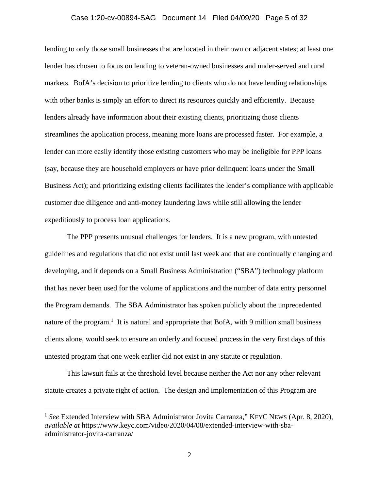### Case 1:20-cv-00894-SAG Document 14 Filed 04/09/20 Page 5 of 32

lending to only those small businesses that are located in their own or adjacent states; at least one lender has chosen to focus on lending to veteran-owned businesses and under-served and rural markets. BofA's decision to prioritize lending to clients who do not have lending relationships with other banks is simply an effort to direct its resources quickly and efficiently. Because lenders already have information about their existing clients, prioritizing those clients streamlines the application process, meaning more loans are processed faster. For example, a lender can more easily identify those existing customers who may be ineligible for PPP loans (say, because they are household employers or have prior delinquent loans under the Small Business Act); and prioritizing existing clients facilitates the lender's compliance with applicable customer due diligence and anti-money laundering laws while still allowing the lender expeditiously to process loan applications.

The PPP presents unusual challenges for lenders. It is a new program, with untested guidelines and regulations that did not exist until last week and that are continually changing and developing, and it depends on a Small Business Administration ("SBA") technology platform that has never been used for the volume of applications and the number of data entry personnel the Program demands. The SBA Administrator has spoken publicly about the unprecedented nature of the program.<sup>1</sup> It is natural and appropriate that BofA, with 9 million small business clients alone, would seek to ensure an orderly and focused process in the very first days of this untested program that one week earlier did not exist in any statute or regulation.

This lawsuit fails at the threshold level because neither the Act nor any other relevant statute creates a private right of action. The design and implementation of this Program are

<sup>&</sup>lt;sup>1</sup> See Extended Interview with SBA Administrator Jovita Carranza," KEYC NEWS (Apr. 8, 2020), *available at* https://www.keyc.com/video/2020/04/08/extended-interview-with-sbaadministrator-jovita-carranza/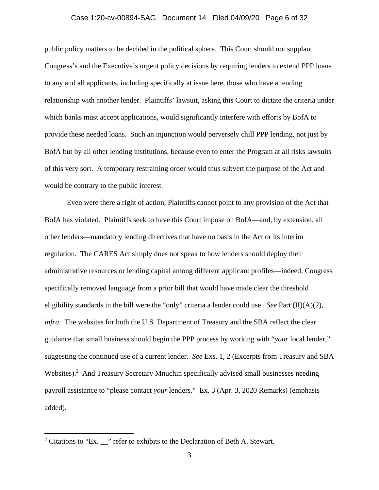### Case 1:20-cv-00894-SAG Document 14 Filed 04/09/20 Page 6 of 32

public policy matters to be decided in the political sphere. This Court should not supplant Congress's and the Executive's urgent policy decisions by requiring lenders to extend PPP loans to any and all applicants, including specifically at issue here, those who have a lending relationship with another lender. Plaintiffs' lawsuit, asking this Court to dictate the criteria under which banks must accept applications, would significantly interfere with efforts by BofA to provide these needed loans. Such an injunction would perversely chill PPP lending, not just by BofA but by all other lending institutions, because even to enter the Program at all risks lawsuits of this very sort. A temporary restraining order would thus subvert the purpose of the Act and would be contrary to the public interest.

Even were there a right of action, Plaintiffs cannot point to any provision of the Act that BofA has violated. Plaintiffs seek to have this Court impose on BofA—and, by extension, all other lenders—mandatory lending directives that have no basis in the Act or its interim regulation. The CARES Act simply does not speak to how lenders should deploy their administrative resources or lending capital among different applicant profiles—indeed, Congress specifically removed language from a prior bill that would have made clear the threshold eligibility standards in the bill were the "only" criteria a lender could use. *See* Part (II)(A)(2), *infra*. The websites for both the U.S. Department of Treasury and the SBA reflect the clear guidance that small business should begin the PPP process by working with "*your* local lender," suggesting the continued use of a current lender. *See* Exs. 1, 2 (Excerpts from Treasury and SBA Websites).<sup>2</sup> And Treasury Secretary Mnuchin specifically advised small businesses needing payroll assistance to "please contact *your* lenders." Ex. 3 (Apr. 3, 2020 Remarks) (emphasis added).

 $\overline{a}$ 

<sup>&</sup>lt;sup>2</sup> Citations to "Ex.  $\frac{1}{2}$ " refer to exhibits to the Declaration of Beth A. Stewart.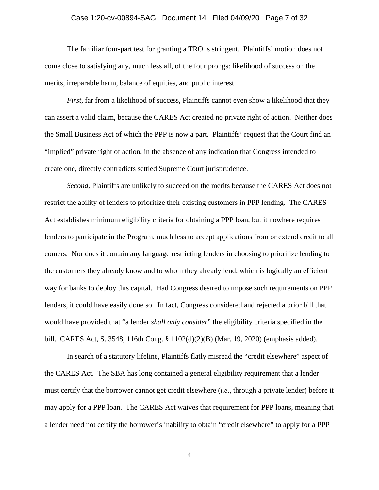### Case 1:20-cv-00894-SAG Document 14 Filed 04/09/20 Page 7 of 32

The familiar four-part test for granting a TRO is stringent. Plaintiffs' motion does not come close to satisfying any, much less all, of the four prongs: likelihood of success on the merits, irreparable harm, balance of equities, and public interest.

*First*, far from a likelihood of success, Plaintiffs cannot even show a likelihood that they can assert a valid claim, because the CARES Act created no private right of action. Neither does the Small Business Act of which the PPP is now a part. Plaintiffs' request that the Court find an "implied" private right of action, in the absence of any indication that Congress intended to create one, directly contradicts settled Supreme Court jurisprudence.

*Second*, Plaintiffs are unlikely to succeed on the merits because the CARES Act does not restrict the ability of lenders to prioritize their existing customers in PPP lending. The CARES Act establishes minimum eligibility criteria for obtaining a PPP loan, but it nowhere requires lenders to participate in the Program, much less to accept applications from or extend credit to all comers. Nor does it contain any language restricting lenders in choosing to prioritize lending to the customers they already know and to whom they already lend, which is logically an efficient way for banks to deploy this capital. Had Congress desired to impose such requirements on PPP lenders, it could have easily done so. In fact, Congress considered and rejected a prior bill that would have provided that "a lender *shall only consider*" the eligibility criteria specified in the bill. CARES Act, S. 3548, 116th Cong. § 1102(d)(2)(B) (Mar. 19, 2020) (emphasis added).

In search of a statutory lifeline, Plaintiffs flatly misread the "credit elsewhere" aspect of the CARES Act. The SBA has long contained a general eligibility requirement that a lender must certify that the borrower cannot get credit elsewhere (*i.e*., through a private lender) before it may apply for a PPP loan. The CARES Act waives that requirement for PPP loans, meaning that a lender need not certify the borrower's inability to obtain "credit elsewhere" to apply for a PPP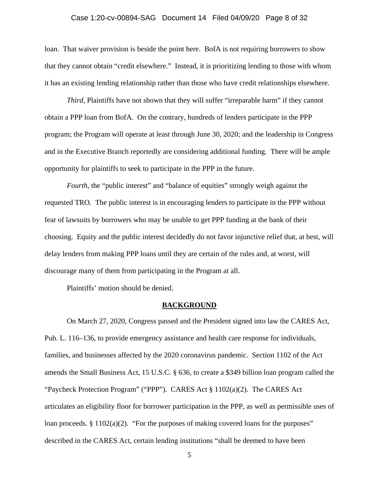### Case 1:20-cv-00894-SAG Document 14 Filed 04/09/20 Page 8 of 32

loan. That waiver provision is beside the point here. BofA is not requiring borrowers to show that they cannot obtain "credit elsewhere." Instead, it is prioritizing lending to those with whom it has an existing lending relationship rather than those who have credit relationships elsewhere.

*Third*, Plaintiffs have not shown that they will suffer "irreparable harm" if they cannot obtain a PPP loan from BofA. On the contrary, hundreds of lenders participate in the PPP program; the Program will operate at least through June 30, 2020; and the leadership in Congress and in the Executive Branch reportedly are considering additional funding. There will be ample opportunity for plaintiffs to seek to participate in the PPP in the future.

*Fourth*, the "public interest" and "balance of equities" strongly weigh against the requested TRO. The public interest is in encouraging lenders to participate in the PPP without fear of lawsuits by borrowers who may be unable to get PPP funding at the bank of their choosing. Equity and the public interest decidedly do not favor injunctive relief that, at best, will delay lenders from making PPP loans until they are certain of the rules and, at worst, will discourage many of them from participating in the Program at all.

Plaintiffs' motion should be denied.

#### **BACKGROUND**

On March 27, 2020, Congress passed and the President signed into law the CARES Act, Pub. L. 116–136, to provide emergency assistance and health care response for individuals, families, and businesses affected by the 2020 coronavirus pandemic. Section 1102 of the Act amends the Small Business Act, 15 U.S.C. § 636, to create a \$349 billion loan program called the "Paycheck Protection Program" ("PPP"). CARES Act § 1102(a)(2). The CARES Act articulates an eligibility floor for borrower participation in the PPP, as well as permissible uses of loan proceeds. § 1102(a)(2). "For the purposes of making covered loans for the purposes" described in the CARES Act, certain lending institutions "shall be deemed to have been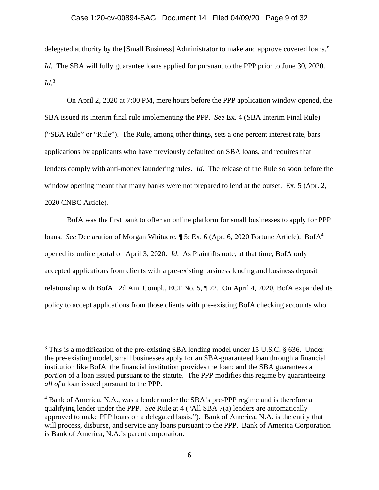#### Case 1:20-cv-00894-SAG Document 14 Filed 04/09/20 Page 9 of 32

delegated authority by the [Small Business] Administrator to make and approve covered loans." *Id.* The SBA will fully guarantee loans applied for pursuant to the PPP prior to June 30, 2020. *Id.*<sup>3</sup>

 On April 2, 2020 at 7:00 PM, mere hours before the PPP application window opened, the SBA issued its interim final rule implementing the PPP. *See* Ex. 4 (SBA Interim Final Rule) ("SBA Rule" or "Rule"). The Rule, among other things, sets a one percent interest rate, bars applications by applicants who have previously defaulted on SBA loans, and requires that lenders comply with anti-money laundering rules. *Id.* The release of the Rule so soon before the window opening meant that many banks were not prepared to lend at the outset. Ex. 5 (Apr. 2, 2020 CNBC Article).

 BofA was the first bank to offer an online platform for small businesses to apply for PPP loans. *See* Declaration of Morgan Whitacre, **[5**; Ex. 6 (Apr. 6, 2020 Fortune Article). BofA<sup>4</sup> opened its online portal on April 3, 2020. *Id*. As Plaintiffs note, at that time, BofA only accepted applications from clients with a pre-existing business lending and business deposit relationship with BofA. 2d Am. Compl., ECF No. 5, ¶ 72. On April 4, 2020, BofA expanded its policy to accept applications from those clients with pre-existing BofA checking accounts who

 $\overline{a}$ 

 $3$  This is a modification of the pre-existing SBA lending model under 15 U.S.C.  $\S$  636. Under the pre-existing model, small businesses apply for an SBA-guaranteed loan through a financial institution like BofA; the financial institution provides the loan; and the SBA guarantees a *portion* of a loan issued pursuant to the statute. The PPP modifies this regime by guaranteeing *all of* a loan issued pursuant to the PPP.

<sup>&</sup>lt;sup>4</sup> Bank of America, N.A., was a lender under the SBA's pre-PPP regime and is therefore a qualifying lender under the PPP. *See* Rule at 4 ("All SBA 7(a) lenders are automatically approved to make PPP loans on a delegated basis."). Bank of America, N.A. is the entity that will process, disburse, and service any loans pursuant to the PPP. Bank of America Corporation is Bank of America, N.A.'s parent corporation.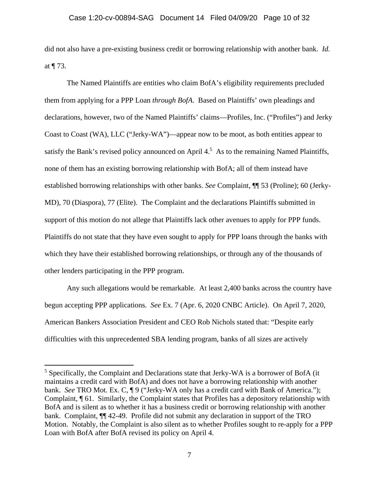did not also have a pre-existing business credit or borrowing relationship with another bank. *Id.*  at ¶ 73.

The Named Plaintiffs are entities who claim BofA's eligibility requirements precluded them from applying for a PPP Loan *through BofA*. Based on Plaintiffs' own pleadings and declarations, however, two of the Named Plaintiffs' claims—Profiles, Inc. ("Profiles") and Jerky Coast to Coast (WA), LLC ("Jerky-WA")—appear now to be moot, as both entities appear to satisfy the Bank's revised policy announced on April  $4<sup>5</sup>$  As to the remaining Named Plaintiffs, none of them has an existing borrowing relationship with BofA; all of them instead have established borrowing relationships with other banks. *See* Complaint, ¶¶ 53 (Proline); 60 (Jerky-MD), 70 (Diaspora), 77 (Elite). The Complaint and the declarations Plaintiffs submitted in support of this motion do not allege that Plaintiffs lack other avenues to apply for PPP funds. Plaintiffs do not state that they have even sought to apply for PPP loans through the banks with which they have their established borrowing relationships, or through any of the thousands of other lenders participating in the PPP program.

 Any such allegations would be remarkable. At least 2,400 banks across the country have begun accepting PPP applications. *See* Ex. 7 (Apr. 6, 2020 CNBC Article). On April 7, 2020, American Bankers Association President and CEO Rob Nichols stated that: "Despite early difficulties with this unprecedented SBA lending program, banks of all sizes are actively

 $\overline{a}$ 

<sup>&</sup>lt;sup>5</sup> Specifically, the Complaint and Declarations state that Jerky-WA is a borrower of BofA (it maintains a credit card with BofA) and does not have a borrowing relationship with another bank. *See* TRO Mot. Ex. C, ¶ 9 ("Jerky-WA only has a credit card with Bank of America."); Complaint, ¶ 61. Similarly, the Complaint states that Profiles has a depository relationship with BofA and is silent as to whether it has a business credit or borrowing relationship with another bank. Complaint, ¶¶ 42-49. Profile did not submit any declaration in support of the TRO Motion. Notably, the Complaint is also silent as to whether Profiles sought to re-apply for a PPP Loan with BofA after BofA revised its policy on April 4.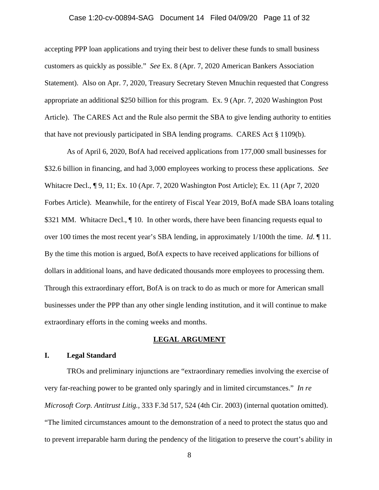### Case 1:20-cv-00894-SAG Document 14 Filed 04/09/20 Page 11 of 32

accepting PPP loan applications and trying their best to deliver these funds to small business customers as quickly as possible." *See* Ex. 8 (Apr. 7, 2020 American Bankers Association Statement). Also on Apr. 7, 2020, Treasury Secretary Steven Mnuchin requested that Congress appropriate an additional \$250 billion for this program. Ex. 9 (Apr. 7, 2020 Washington Post Article). The CARES Act and the Rule also permit the SBA to give lending authority to entities that have not previously participated in SBA lending programs. CARES Act § 1109(b).

 As of April 6, 2020, BofA had received applications from 177,000 small businesses for \$32.6 billion in financing, and had 3,000 employees working to process these applications. *See*  Whitacre Decl., ¶ 9, 11; Ex. 10 (Apr. 7, 2020 Washington Post Article); Ex. 11 (Apr 7, 2020 Forbes Article). Meanwhile, for the entirety of Fiscal Year 2019, BofA made SBA loans totaling \$321 MM. Whitacre Decl.,  $\P$  10. In other words, there have been financing requests equal to over 100 times the most recent year's SBA lending, in approximately 1/100th the time. *Id*. ¶ 11. By the time this motion is argued, BofA expects to have received applications for billions of dollars in additional loans, and have dedicated thousands more employees to processing them. Through this extraordinary effort, BofA is on track to do as much or more for American small businesses under the PPP than any other single lending institution, and it will continue to make extraordinary efforts in the coming weeks and months.

#### **LEGAL ARGUMENT**

### **I. Legal Standard**

TROs and preliminary injunctions are "extraordinary remedies involving the exercise of very far-reaching power to be granted only sparingly and in limited circumstances." *In re Microsoft Corp. Antitrust Litig.*, 333 F.3d 517, 524 (4th Cir. 2003) (internal quotation omitted). "The limited circumstances amount to the demonstration of a need to protect the status quo and to prevent irreparable harm during the pendency of the litigation to preserve the court's ability in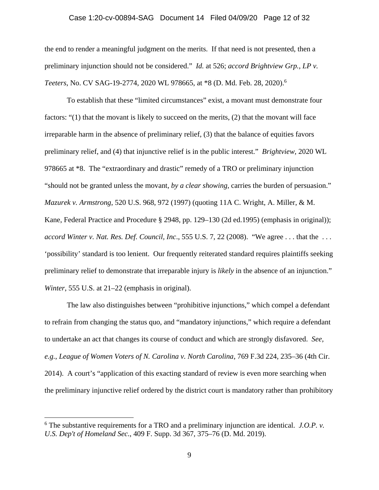### Case 1:20-cv-00894-SAG Document 14 Filed 04/09/20 Page 12 of 32

the end to render a meaningful judgment on the merits. If that need is not presented, then a preliminary injunction should not be considered." *Id.* at 526; *accord Brightview Grp., LP v. Teeters*, No. CV SAG-19-2774, 2020 WL 978665, at \*8 (D. Md. Feb. 28, 2020).<sup>6</sup>

To establish that these "limited circumstances" exist, a movant must demonstrate four factors: "(1) that the movant is likely to succeed on the merits, (2) that the movant will face irreparable harm in the absence of preliminary relief, (3) that the balance of equities favors preliminary relief, and (4) that injunctive relief is in the public interest." *Brightview*, 2020 WL 978665 at \*8. The "extraordinary and drastic" remedy of a TRO or preliminary injunction "should not be granted unless the movant, *by a clear showing,* carries the burden of persuasion." *Mazurek v. Armstrong*, 520 U.S. 968, 972 (1997) (quoting 11A C. Wright, A. Miller, & M. Kane, Federal Practice and Procedure § 2948, pp. 129–130 (2d ed.1995) (emphasis in original)); *accord Winter v. Nat. Res. Def. Council, Inc*., 555 U.S. 7, 22 (2008). "We agree . . . that the . . . 'possibility' standard is too lenient. Our frequently reiterated standard requires plaintiffs seeking preliminary relief to demonstrate that irreparable injury is *likely* in the absence of an injunction." *Winter*, 555 U.S. at 21–22 (emphasis in original).

The law also distinguishes between "prohibitive injunctions," which compel a defendant to refrain from changing the status quo, and "mandatory injunctions," which require a defendant to undertake an act that changes its course of conduct and which are strongly disfavored. *See, e.g.*, *League of Women Voters of N. Carolina v. North Carolina*, 769 F.3d 224, 235–36 (4th Cir. 2014). A court's "application of this exacting standard of review is even more searching when the preliminary injunctive relief ordered by the district court is mandatory rather than prohibitory

<sup>6</sup> The substantive requirements for a TRO and a preliminary injunction are identical. *J.O.P. v. U.S. Dep't of Homeland Sec.*, 409 F. Supp. 3d 367, 375–76 (D. Md. 2019).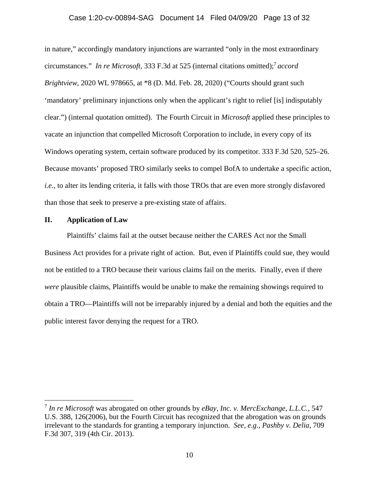### Case 1:20-cv-00894-SAG Document 14 Filed 04/09/20 Page 13 of 32

in nature," accordingly mandatory injunctions are warranted "only in the most extraordinary circumstances." *In re Microsoft*, 333 F.3d at 525 (internal citations omitted);<sup>7</sup> *accord Brightview*, 2020 WL 978665, at \*8 (D. Md. Feb. 28, 2020) ("Courts should grant such 'mandatory' preliminary injunctions only when the applicant's right to relief [is] indisputably clear.") (internal quotation omitted). The Fourth Circuit in *Microsoft* applied these principles to vacate an injunction that compelled Microsoft Corporation to include, in every copy of its Windows operating system, certain software produced by its competitor. 333 F.3d 520, 525–26. Because movants' proposed TRO similarly seeks to compel BofA to undertake a specific action, *i.e.*, to alter its lending criteria, it falls with those TROs that are even more strongly disfavored than those that seek to preserve a pre-existing state of affairs.

#### **II. Application of Law**

 $\overline{a}$ 

Plaintiffs' claims fail at the outset because neither the CARES Act nor the Small Business Act provides for a private right of action. But, even if Plaintiffs could sue, they would not be entitled to a TRO because their various claims fail on the merits. Finally, even if there *were* plausible claims, Plaintiffs would be unable to make the remaining showings required to obtain a TRO—Plaintiffs will not be irreparably injured by a denial and both the equities and the public interest favor denying the request for a TRO.

<sup>7</sup> *In re Microsoft* was abrogated on other grounds by *eBay, Inc. v. MercExchange, L.L.C.*, 547 U.S. 388, 126(2006), but the Fourth Circuit has recognized that the abrogation was on grounds irrelevant to the standards for granting a temporary injunction. *See, e.g.*, *Pashby v. Delia*, 709 F.3d 307, 319 (4th Cir. 2013).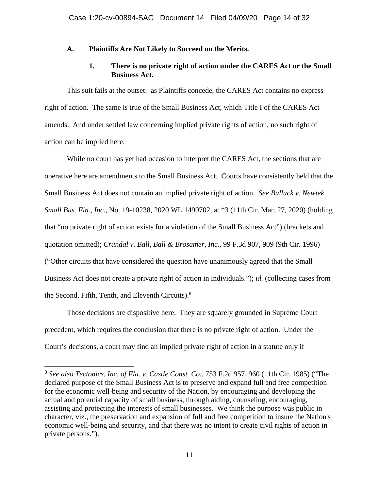### **A. Plaintiffs Are Not Likely to Succeed on the Merits.**

### **1. There is no private right of action under the CARES Act or the Small Business Act.**

This suit fails at the outset: as Plaintiffs concede, the CARES Act contains no express right of action. The same is true of the Small Business Act, which Title I of the CARES Act amends. And under settled law concerning implied private rights of action, no such right of action can be implied here.

While no court has yet had occasion to interpret the CARES Act, the sections that are operative here are amendments to the Small Business Act. Courts have consistently held that the Small Business Act does not contain an implied private right of action. *See Bulluck v. Newtek Small Bus. Fin., Inc.*, No. 19-10238, 2020 WL 1490702, at \*3 (11th Cir. Mar. 27, 2020) (holding that "no private right of action exists for a violation of the Small Business Act") (brackets and quotation omitted); *Crandal v. Ball, Ball & Brosamer, Inc.*, 99 F.3d 907, 909 (9th Cir. 1996) ("Other circuits that have considered the question have unanimously agreed that the Small Business Act does not create a private right of action in individuals."); *id.* (collecting cases from the Second, Fifth, Tenth, and Eleventh Circuits).<sup>8</sup>

Those decisions are dispositive here. They are squarely grounded in Supreme Court precedent, which requires the conclusion that there is no private right of action. Under the Court's decisions, a court may find an implied private right of action in a statute only if

<sup>8</sup> *See also Tectonics, Inc. of Fla. v. Castle Const. Co.*, 753 F.2d 957, 960 (11th Cir. 1985) ("The declared purpose of the Small Business Act is to preserve and expand full and free competition for the economic well-being and security of the Nation, by encouraging and developing the actual and potential capacity of small business, through aiding, counseling, encouraging, assisting and protecting the interests of small businesses. We think the purpose was public in character, viz., the preservation and expansion of full and free competition to insure the Nation's economic well-being and security, and that there was no intent to create civil rights of action in private persons.").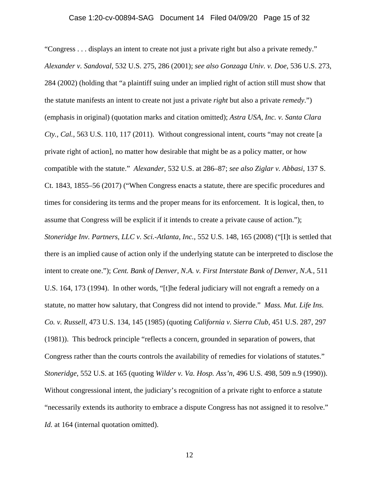"Congress . . . displays an intent to create not just a private right but also a private remedy." *Alexander v. Sandoval*, 532 U.S. 275, 286 (2001); *see also Gonzaga Univ. v. Doe*, 536 U.S. 273, 284 (2002) (holding that "a plaintiff suing under an implied right of action still must show that the statute manifests an intent to create not just a private *right* but also a private *remedy*.") (emphasis in original) (quotation marks and citation omitted); *Astra USA, Inc. v. Santa Clara Cty., Cal.*, 563 U.S. 110, 117 (2011). Without congressional intent, courts "may not create [a private right of action], no matter how desirable that might be as a policy matter, or how compatible with the statute." *Alexander*, 532 U.S. at 286–87; *see also Ziglar v. Abbasi*, 137 S. Ct. 1843, 1855–56 (2017) ("When Congress enacts a statute, there are specific procedures and times for considering its terms and the proper means for its enforcement. It is logical, then, to assume that Congress will be explicit if it intends to create a private cause of action."); *Stoneridge Inv. Partners, LLC v. Sci.-Atlanta, Inc.*, 552 U.S. 148, 165 (2008) ("[I]t is settled that there is an implied cause of action only if the underlying statute can be interpreted to disclose the intent to create one."); *Cent. Bank of Denver, N.A. v. First Interstate Bank of Denver, N.A.*, 511 U.S. 164, 173 (1994). In other words, "[t]he federal judiciary will not engraft a remedy on a statute, no matter how salutary, that Congress did not intend to provide." *Mass. Mut. Life Ins. Co. v. Russell*, 473 U.S. 134, 145 (1985) (quoting *California v. Sierra Club*, 451 U.S. 287, 297 (1981)). This bedrock principle "reflects a concern, grounded in separation of powers, that Congress rather than the courts controls the availability of remedies for violations of statutes." *Stoneridge*, 552 U.S. at 165 (quoting *Wilder v. Va. Hosp. Ass'n*, 496 U.S. 498, 509 n.9 (1990)). Without congressional intent, the judiciary's recognition of a private right to enforce a statute "necessarily extends its authority to embrace a dispute Congress has not assigned it to resolve." *Id.* at 164 (internal quotation omitted).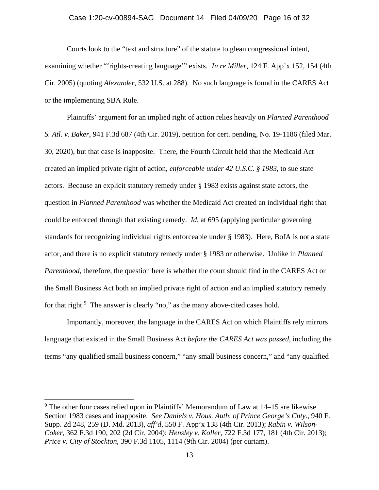#### Case 1:20-cv-00894-SAG Document 14 Filed 04/09/20 Page 16 of 32

Courts look to the "text and structure" of the statute to glean congressional intent, examining whether "'rights-creating language'" exists. *In re Miller*, 124 F. App'x 152, 154 (4th Cir. 2005) (quoting *Alexander*, 532 U.S. at 288). No such language is found in the CARES Act or the implementing SBA Rule.

Plaintiffs' argument for an implied right of action relies heavily on *Planned Parenthood S. Atl. v. Baker*, 941 F.3d 687 (4th Cir. 2019), petition for cert. pending, No. 19-1186 (filed Mar. 30, 2020), but that case is inapposite. There, the Fourth Circuit held that the Medicaid Act created an implied private right of action, *enforceable under 42 U.S.C. § 1983*, to sue state actors. Because an explicit statutory remedy under § 1983 exists against state actors, the question in *Planned Parenthood* was whether the Medicaid Act created an individual right that could be enforced through that existing remedy. *Id.* at 695 (applying particular governing standards for recognizing individual rights enforceable under § 1983).Here, BofA is not a state actor, and there is no explicit statutory remedy under § 1983 or otherwise. Unlike in *Planned Parenthood*, therefore, the question here is whether the court should find in the CARES Act or the Small Business Act both an implied private right of action and an implied statutory remedy for that right.<sup>9</sup> The answer is clearly "no," as the many above-cited cases hold.

Importantly, moreover, the language in the CARES Act on which Plaintiffs rely mirrors language that existed in the Small Business Act *before the CARES Act was passed*, including the terms "any qualified small business concern," "any small business concern," and "any qualified

 $\overline{a}$ 

<sup>&</sup>lt;sup>9</sup> The other four cases relied upon in Plaintiffs' Memorandum of Law at 14–15 are likewise Section 1983 cases and inapposite. *See Daniels v. Hous. Auth. of Prince George's Cnty.*, 940 F. Supp. 2d 248, 259 (D. Md. 2013), *aff'd*, 550 F. App'x 138 (4th Cir. 2013); *Rabin v. Wilson-Coker*, 362 F.3d 190, 202 (2d Cir. 2004); *Hensley v. Koller*, 722 F.3d 177, 181 (4th Cir. 2013); *Price v. City of Stockton*, 390 F.3d 1105, 1114 (9th Cir. 2004) (per curiam).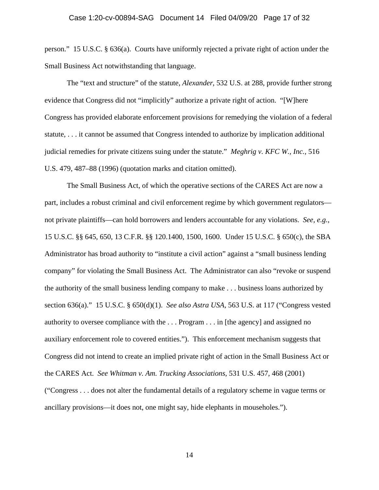person." 15 U.S.C. § 636(a). Courts have uniformly rejected a private right of action under the Small Business Act notwithstanding that language.

The "text and structure" of the statute, *Alexander*, 532 U.S. at 288, provide further strong evidence that Congress did not "implicitly" authorize a private right of action. "[W]here Congress has provided elaborate enforcement provisions for remedying the violation of a federal statute, . . . it cannot be assumed that Congress intended to authorize by implication additional judicial remedies for private citizens suing under the statute." *Meghrig v. KFC W., Inc.*, 516 U.S. 479, 487–88 (1996) (quotation marks and citation omitted).

The Small Business Act, of which the operative sections of the CARES Act are now a part, includes a robust criminal and civil enforcement regime by which government regulators not private plaintiffs—can hold borrowers and lenders accountable for any violations. *See, e.g.*, 15 U.S.C. §§ 645, 650, 13 C.F.R. §§ 120.1400, 1500, 1600. Under 15 U.S.C. § 650(c), the SBA Administrator has broad authority to "institute a civil action" against a "small business lending company" for violating the Small Business Act. The Administrator can also "revoke or suspend the authority of the small business lending company to make . . . business loans authorized by section 636(a)." 15 U.S.C. § 650(d)(1). *See also Astra USA*, 563 U.S. at 117 ("Congress vested authority to oversee compliance with the . . . Program . . . in [the agency] and assigned no auxiliary enforcement role to covered entities."). This enforcement mechanism suggests that Congress did not intend to create an implied private right of action in the Small Business Act or the CARES Act. *See Whitman v. Am. Trucking Associations*, 531 U.S. 457, 468 (2001) ("Congress . . . does not alter the fundamental details of a regulatory scheme in vague terms or ancillary provisions—it does not, one might say, hide elephants in mouseholes.").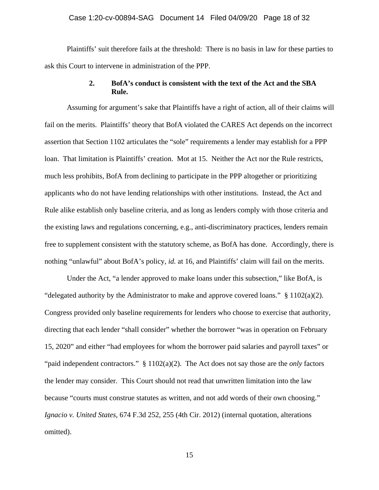#### Case 1:20-cv-00894-SAG Document 14 Filed 04/09/20 Page 18 of 32

Plaintiffs' suit therefore fails at the threshold: There is no basis in law for these parties to ask this Court to intervene in administration of the PPP.

### **2. BofA's conduct is consistent with the text of the Act and the SBA Rule.**

Assuming for argument's sake that Plaintiffs have a right of action, all of their claims will fail on the merits. Plaintiffs' theory that BofA violated the CARES Act depends on the incorrect assertion that Section 1102 articulates the "sole" requirements a lender may establish for a PPP loan. That limitation is Plaintiffs' creation. Mot at 15. Neither the Act nor the Rule restricts, much less prohibits, BofA from declining to participate in the PPP altogether or prioritizing applicants who do not have lending relationships with other institutions. Instead, the Act and Rule alike establish only baseline criteria, and as long as lenders comply with those criteria and the existing laws and regulations concerning, e.g., anti-discriminatory practices, lenders remain free to supplement consistent with the statutory scheme, as BofA has done. Accordingly, there is nothing "unlawful" about BofA's policy, *id.* at 16, and Plaintiffs' claim will fail on the merits.

Under the Act, "a lender approved to make loans under this subsection," like BofA, is "delegated authority by the Administrator to make and approve covered loans."  $\S$  1102(a)(2). Congress provided only baseline requirements for lenders who choose to exercise that authority, directing that each lender "shall consider" whether the borrower "was in operation on February 15, 2020" and either "had employees for whom the borrower paid salaries and payroll taxes" or "paid independent contractors." § 1102(a)(2). The Act does not say those are the *only* factors the lender may consider. This Court should not read that unwritten limitation into the law because "courts must construe statutes as written, and not add words of their own choosing." *Ignacio v. United States*, 674 F.3d 252, 255 (4th Cir. 2012) (internal quotation, alterations omitted).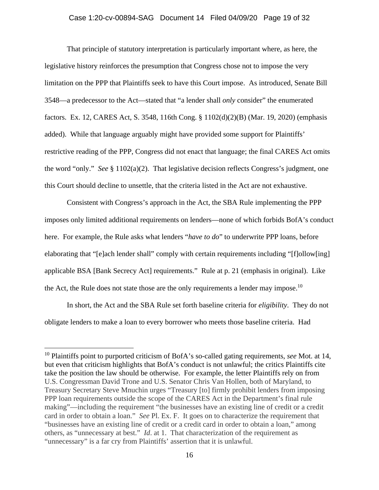### Case 1:20-cv-00894-SAG Document 14 Filed 04/09/20 Page 19 of 32

That principle of statutory interpretation is particularly important where, as here, the legislative history reinforces the presumption that Congress chose not to impose the very limitation on the PPP that Plaintiffs seek to have this Court impose. As introduced, Senate Bill 3548—a predecessor to the Act—stated that "a lender shall *only* consider" the enumerated factors. Ex. 12, CARES Act, S. 3548, 116th Cong. § 1102(d)(2)(B) (Mar. 19, 2020) (emphasis added). While that language arguably might have provided some support for Plaintiffs' restrictive reading of the PPP, Congress did not enact that language; the final CARES Act omits the word "only." *See* § 1102(a)(2). That legislative decision reflects Congress's judgment, one this Court should decline to unsettle, that the criteria listed in the Act are not exhaustive.

Consistent with Congress's approach in the Act, the SBA Rule implementing the PPP imposes only limited additional requirements on lenders—none of which forbids BofA's conduct here. For example, the Rule asks what lenders "*have to do*" to underwrite PPP loans, before elaborating that "[e]ach lender shall" comply with certain requirements including "[f]ollow[ing] applicable BSA [Bank Secrecy Act] requirements." Rule at p. 21 (emphasis in original). Like the Act, the Rule does not state those are the only requirements a lender may impose.<sup>10</sup>

In short, the Act and the SBA Rule set forth baseline criteria for *eligibility*. They do not obligate lenders to make a loan to every borrower who meets those baseline criteria. Had

<u>.</u>

<sup>10</sup> Plaintiffs point to purported criticism of BofA's so-called gating requirements, *see* Mot. at 14, but even that criticism highlights that BofA's conduct is not unlawful; the critics Plaintiffs cite take the position the law should be otherwise. For example, the letter Plaintiffs rely on from U.S. Congressman David Trone and U.S. Senator Chris Van Hollen, both of Maryland, to Treasury Secretary Steve Mnuchin urges "Treasury [to] firmly prohibit lenders from imposing PPP loan requirements outside the scope of the CARES Act in the Department's final rule making"—including the requirement "the businesses have an existing line of credit or a credit card in order to obtain a loan." *See* Pl. Ex. F. It goes on to characterize the requirement that "businesses have an existing line of credit or a credit card in order to obtain a loan," among others, as "unnecessary at best." *Id*. at 1. That characterization of the requirement as "unnecessary" is a far cry from Plaintiffs' assertion that it is unlawful.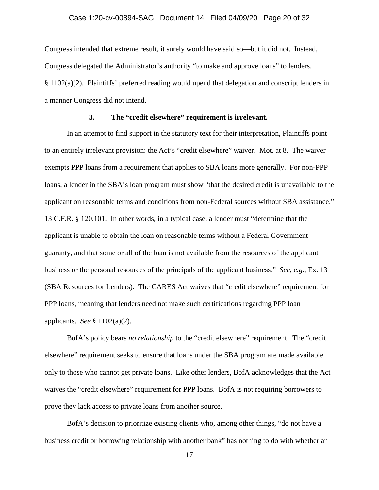Congress intended that extreme result, it surely would have said so—but it did not. Instead, Congress delegated the Administrator's authority "to make and approve loans" to lenders. § 1102(a)(2). Plaintiffs' preferred reading would upend that delegation and conscript lenders in a manner Congress did not intend.

### **3. The "credit elsewhere" requirement is irrelevant.**

In an attempt to find support in the statutory text for their interpretation, Plaintiffs point to an entirely irrelevant provision: the Act's "credit elsewhere" waiver. Mot. at 8. The waiver exempts PPP loans from a requirement that applies to SBA loans more generally. For non-PPP loans, a lender in the SBA's loan program must show "that the desired credit is unavailable to the applicant on reasonable terms and conditions from non-Federal sources without SBA assistance." 13 C.F.R. § 120.101. In other words, in a typical case, a lender must "determine that the applicant is unable to obtain the loan on reasonable terms without a Federal Government guaranty, and that some or all of the loan is not available from the resources of the applicant business or the personal resources of the principals of the applicant business." *See, e.g.*, Ex. 13 (SBA Resources for Lenders). The CARES Act waives that "credit elsewhere" requirement for PPP loans, meaning that lenders need not make such certifications regarding PPP loan applicants. *See* § 1102(a)(2).

BofA's policy bears *no relationship* to the "credit elsewhere" requirement. The "credit elsewhere" requirement seeks to ensure that loans under the SBA program are made available only to those who cannot get private loans. Like other lenders, BofA acknowledges that the Act waives the "credit elsewhere" requirement for PPP loans. BofA is not requiring borrowers to prove they lack access to private loans from another source.

BofA's decision to prioritize existing clients who, among other things, "do not have a business credit or borrowing relationship with another bank" has nothing to do with whether an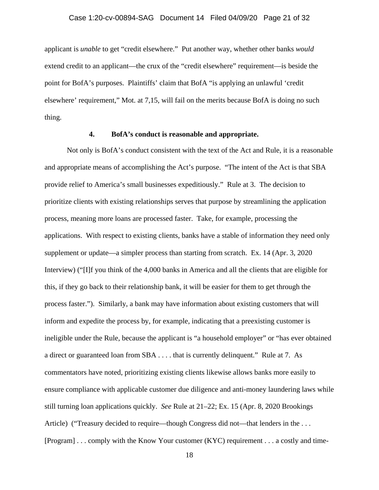applicant is *unable* to get "credit elsewhere." Put another way, whether other banks *would* extend credit to an applicant—the crux of the "credit elsewhere" requirement—is beside the point for BofA's purposes. Plaintiffs' claim that BofA "is applying an unlawful 'credit elsewhere' requirement," Mot. at 7,15, will fail on the merits because BofA is doing no such thing.

#### **4. BofA's conduct is reasonable and appropriate.**

Not only is BofA's conduct consistent with the text of the Act and Rule, it is a reasonable and appropriate means of accomplishing the Act's purpose. "The intent of the Act is that SBA provide relief to America's small businesses expeditiously." Rule at 3. The decision to prioritize clients with existing relationships serves that purpose by streamlining the application process, meaning more loans are processed faster. Take, for example, processing the applications. With respect to existing clients, banks have a stable of information they need only supplement or update—a simpler process than starting from scratch. Ex. 14 (Apr. 3, 2020 Interview) ("[I]f you think of the 4,000 banks in America and all the clients that are eligible for this, if they go back to their relationship bank, it will be easier for them to get through the process faster."). Similarly, a bank may have information about existing customers that will inform and expedite the process by, for example, indicating that a preexisting customer is ineligible under the Rule, because the applicant is "a household employer" or "has ever obtained a direct or guaranteed loan from SBA . . . . that is currently delinquent." Rule at 7. As commentators have noted, prioritizing existing clients likewise allows banks more easily to ensure compliance with applicable customer due diligence and anti-money laundering laws while still turning loan applications quickly. *See* Rule at 21–22; Ex. 15 (Apr. 8, 2020 Brookings Article) ("Treasury decided to require—though Congress did not—that lenders in the ... [Program] . . . comply with the Know Your customer (KYC) requirement . . . a costly and time-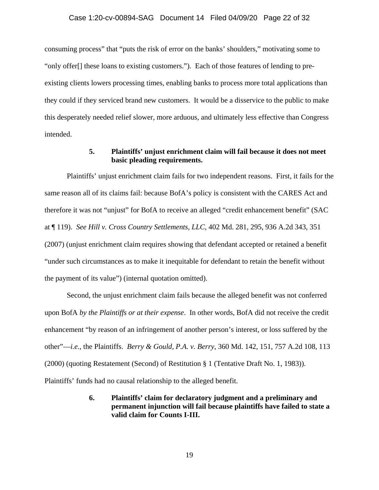#### Case 1:20-cv-00894-SAG Document 14 Filed 04/09/20 Page 22 of 32

consuming process" that "puts the risk of error on the banks' shoulders," motivating some to "only offer[] these loans to existing customers."). Each of those features of lending to preexisting clients lowers processing times, enabling banks to process more total applications than they could if they serviced brand new customers. It would be a disservice to the public to make this desperately needed relief slower, more arduous, and ultimately less effective than Congress intended.

### **5. Plaintiffs' unjust enrichment claim will fail because it does not meet basic pleading requirements.**

Plaintiffs' unjust enrichment claim fails for two independent reasons. First, it fails for the same reason all of its claims fail: because BofA's policy is consistent with the CARES Act and therefore it was not "unjust" for BofA to receive an alleged "credit enhancement benefit" (SAC at ¶ 119). *See Hill v. Cross Country Settlements, LLC*, 402 Md. 281, 295, 936 A.2d 343, 351 (2007) (unjust enrichment claim requires showing that defendant accepted or retained a benefit "under such circumstances as to make it inequitable for defendant to retain the benefit without the payment of its value") (internal quotation omitted).

Second, the unjust enrichment claim fails because the alleged benefit was not conferred upon BofA *by the Plaintiffs or at their expense*. In other words, BofA did not receive the credit enhancement "by reason of an infringement of another person's interest, or loss suffered by the other"—*i.e.*, the Plaintiffs. *Berry & Gould, P.A. v. Berry*, 360 Md. 142, 151, 757 A.2d 108, 113 (2000) (quoting Restatement (Second) of Restitution § 1 (Tentative Draft No. 1, 1983)). Plaintiffs' funds had no causal relationship to the alleged benefit.

# **6. Plaintiffs' claim for declaratory judgment and a preliminary and permanent injunction will fail because plaintiffs have failed to state a valid claim for Counts I-III.**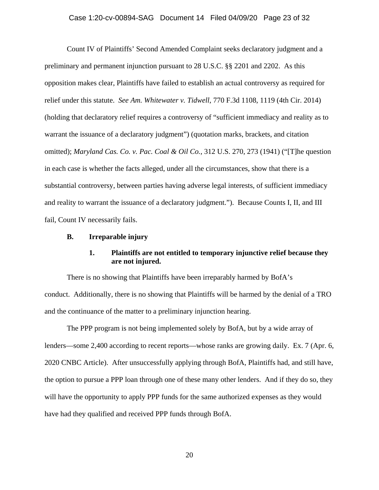Count IV of Plaintiffs' Second Amended Complaint seeks declaratory judgment and a preliminary and permanent injunction pursuant to 28 U.S.C. §§ 2201 and 2202. As this opposition makes clear, Plaintiffs have failed to establish an actual controversy as required for relief under this statute. *See Am. Whitewater v. Tidwell*, 770 F.3d 1108, 1119 (4th Cir. 2014) (holding that declaratory relief requires a controversy of "sufficient immediacy and reality as to warrant the issuance of a declaratory judgment") (quotation marks, brackets, and citation omitted); *Maryland Cas. Co. v. Pac. Coal & Oil Co.*, 312 U.S. 270, 273 (1941) ("[T]he question in each case is whether the facts alleged, under all the circumstances, show that there is a substantial controversy, between parties having adverse legal interests, of sufficient immediacy and reality to warrant the issuance of a declaratory judgment."). Because Counts I, II, and III fail, Count IV necessarily fails.

#### **B. Irreparable injury**

# **1. Plaintiffs are not entitled to temporary injunctive relief because they are not injured.**

There is no showing that Plaintiffs have been irreparably harmed by BofA's conduct. Additionally, there is no showing that Plaintiffs will be harmed by the denial of a TRO and the continuance of the matter to a preliminary injunction hearing.

The PPP program is not being implemented solely by BofA, but by a wide array of lenders—some 2,400 according to recent reports—whose ranks are growing daily. Ex. 7 (Apr. 6, 2020 CNBC Article). After unsuccessfully applying through BofA, Plaintiffs had, and still have, the option to pursue a PPP loan through one of these many other lenders. And if they do so, they will have the opportunity to apply PPP funds for the same authorized expenses as they would have had they qualified and received PPP funds through BofA.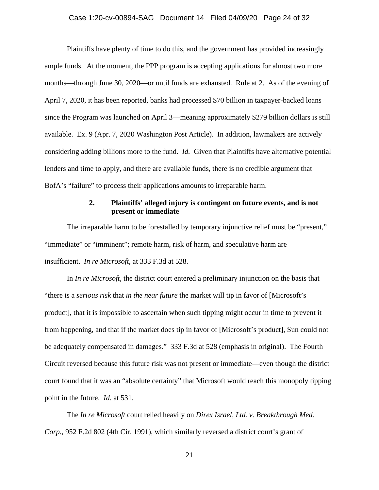Plaintiffs have plenty of time to do this, and the government has provided increasingly ample funds. At the moment, the PPP program is accepting applications for almost two more months—through June 30, 2020—or until funds are exhausted. Rule at 2. As of the evening of April 7, 2020, it has been reported, banks had processed \$70 billion in taxpayer-backed loans since the Program was launched on April 3—meaning approximately \$279 billion dollars is still available. Ex. 9 (Apr. 7, 2020 Washington Post Article). In addition, lawmakers are actively considering adding billions more to the fund. *Id.* Given that Plaintiffs have alternative potential lenders and time to apply, and there are available funds, there is no credible argument that BofA's "failure" to process their applications amounts to irreparable harm.

# **2. Plaintiffs' alleged injury is contingent on future events, and is not present or immediate**

The irreparable harm to be forestalled by temporary injunctive relief must be "present," "immediate" or "imminent"; remote harm, risk of harm, and speculative harm are insufficient.*In re Microsoft*, at 333 F.3d at 528.

In *In re Microsoft,* the district court entered a preliminary injunction on the basis that "there is a *serious risk* that *in the near future* the market will tip in favor of [Microsoft's product], that it is impossible to ascertain when such tipping might occur in time to prevent it from happening, and that if the market does tip in favor of [Microsoft's product], Sun could not be adequately compensated in damages." 333 F.3d at 528 (emphasis in original). The Fourth Circuit reversed because this future risk was not present or immediate—even though the district court found that it was an "absolute certainty" that Microsoft would reach this monopoly tipping point in the future. *Id.* at 531.

The *In re Microsoft* court relied heavily on *Direx Israel, Ltd. v. Breakthrough Med. Corp.*, 952 F.2d 802 (4th Cir. 1991), which similarly reversed a district court's grant of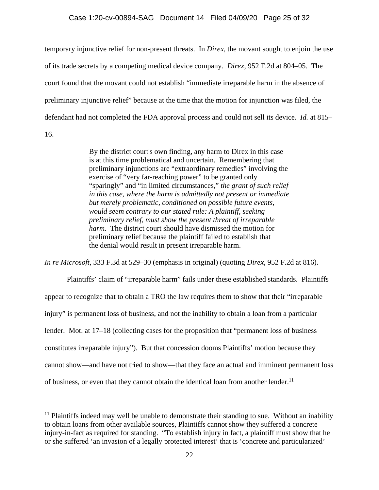#### Case 1:20-cv-00894-SAG Document 14 Filed 04/09/20 Page 25 of 32

temporary injunctive relief for non-present threats. In *Direx*, the movant sought to enjoin the use of its trade secrets by a competing medical device company. *Direx*, 952 F.2d at 804–05. The court found that the movant could not establish "immediate irreparable harm in the absence of preliminary injunctive relief" because at the time that the motion for injunction was filed, the defendant had not completed the FDA approval process and could not sell its device. *Id.* at 815– 16.

> By the district court's own finding, any harm to Direx in this case is at this time problematical and uncertain. Remembering that preliminary injunctions are "extraordinary remedies" involving the exercise of "very far-reaching power" to be granted only "sparingly" and "in limited circumstances," *the grant of such relief in this case, where the harm is admittedly not present or immediate but merely problematic, conditioned on possible future events, would seem contrary to our stated rule: A plaintiff, seeking preliminary relief, must show the present threat of irreparable harm.* The district court should have dismissed the motion for preliminary relief because the plaintiff failed to establish that the denial would result in present irreparable harm.

*In re Microsoft*, 333 F.3d at 529–30 (emphasis in original) (quoting *Direx*, 952 F.2d at 816).

 Plaintiffs' claim of "irreparable harm" fails under these established standards. Plaintiffs appear to recognize that to obtain a TRO the law requires them to show that their "irreparable injury" is permanent loss of business, and not the inability to obtain a loan from a particular lender. Mot. at 17–18 (collecting cases for the proposition that "permanent loss of business constitutes irreparable injury"). But that concession dooms Plaintiffs' motion because they cannot show—and have not tried to show—that they face an actual and imminent permanent loss of business, or even that they cannot obtain the identical loan from another lender.<sup>11</sup>

 $\overline{a}$ 

 $11$  Plaintiffs indeed may well be unable to demonstrate their standing to sue. Without an inability to obtain loans from other available sources, Plaintiffs cannot show they suffered a concrete injury-in-fact as required for standing. "To establish injury in fact, a plaintiff must show that he or she suffered 'an invasion of a legally protected interest' that is 'concrete and particularized'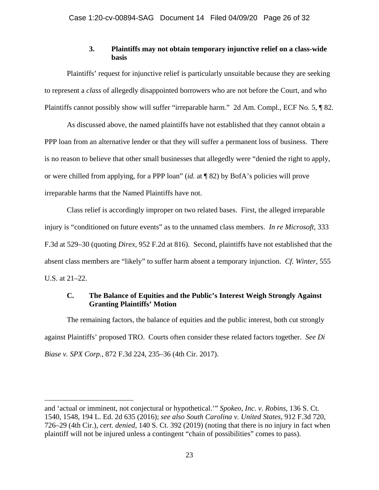# **3. Plaintiffs may not obtain temporary injunctive relief on a class-wide basis**

Plaintiffs' request for injunctive relief is particularly unsuitable because they are seeking to represent a *class* of allegedly disappointed borrowers who are not before the Court, and who Plaintiffs cannot possibly show will suffer "irreparable harm." 2d Am. Compl., ECF No. 5, ¶ 82.

As discussed above, the named plaintiffs have not established that they cannot obtain a PPP loan from an alternative lender or that they will suffer a permanent loss of business. There is no reason to believe that other small businesses that allegedly were "denied the right to apply, or were chilled from applying, for a PPP loan" (*id.* at ¶ 82) by BofA's policies will prove irreparable harms that the Named Plaintiffs have not.

Class relief is accordingly improper on two related bases. First, the alleged irreparable injury is "conditioned on future events" as to the unnamed class members. *In re Microsoft*, 333 F.3d at 529–30 (quoting *Direx*, 952 F.2d at 816). Second, plaintiffs have not established that the absent class members are "likely" to suffer harm absent a temporary injunction. *Cf. Winter*, 555 U.S. at 21–22.

### **C. The Balance of Equities and the Public's Interest Weigh Strongly Against Granting Plaintiffs' Motion**

The remaining factors, the balance of equities and the public interest, both cut strongly against Plaintiffs' proposed TRO. Courts often consider these related factors together. *See Di Biase v. SPX Corp.*, 872 F.3d 224, 235–36 (4th Cir. 2017).

and 'actual or imminent, not conjectural or hypothetical.'" *Spokeo, Inc. v. Robins*, 136 S. Ct. 1540, 1548, 194 L. Ed. 2d 635 (2016); *see also South Carolina v. United States*, 912 F.3d 720, 726–29 (4th Cir.), *cert. denied*, 140 S. Ct. 392 (2019) (noting that there is no injury in fact when plaintiff will not be injured unless a contingent "chain of possibilities" comes to pass).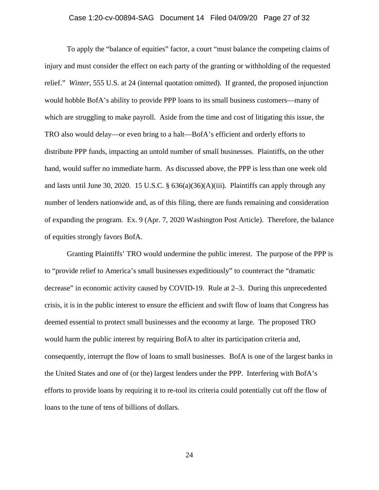### Case 1:20-cv-00894-SAG Document 14 Filed 04/09/20 Page 27 of 32

To apply the "balance of equities" factor, a court "must balance the competing claims of injury and must consider the effect on each party of the granting or withholding of the requested relief." *Winter*, 555 U.S. at 24 (internal quotation omitted). If granted, the proposed injunction would hobble BofA's ability to provide PPP loans to its small business customers—many of which are struggling to make payroll. Aside from the time and cost of litigating this issue, the TRO also would delay—or even bring to a halt—BofA's efficient and orderly efforts to distribute PPP funds, impacting an untold number of small businesses. Plaintiffs, on the other hand, would suffer no immediate harm. As discussed above, the PPP is less than one week old and lasts until June 30, 2020. 15 U.S.C. §  $636(a)(36)(A)(iii)$ . Plaintiffs can apply through any number of lenders nationwide and, as of this filing, there are funds remaining and consideration of expanding the program. Ex. 9 (Apr. 7, 2020 Washington Post Article). Therefore, the balance of equities strongly favors BofA.

Granting Plaintiffs' TRO would undermine the public interest. The purpose of the PPP is to "provide relief to America's small businesses expeditiously" to counteract the "dramatic decrease" in economic activity caused by COVID-19. Rule at 2–3. During this unprecedented crisis, it is in the public interest to ensure the efficient and swift flow of loans that Congress has deemed essential to protect small businesses and the economy at large. The proposed TRO would harm the public interest by requiring BofA to alter its participation criteria and, consequently, interrupt the flow of loans to small businesses. BofA is one of the largest banks in the United States and one of (or the) largest lenders under the PPP. Interfering with BofA's efforts to provide loans by requiring it to re-tool its criteria could potentially cut off the flow of loans to the tune of tens of billions of dollars.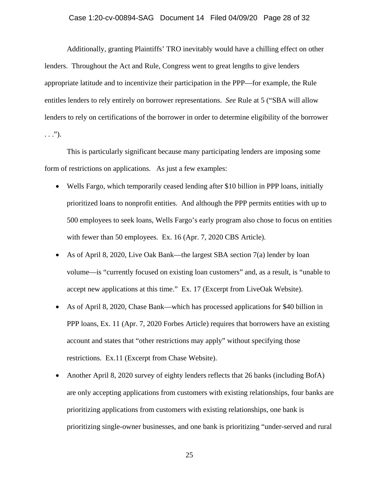#### Case 1:20-cv-00894-SAG Document 14 Filed 04/09/20 Page 28 of 32

Additionally, granting Plaintiffs' TRO inevitably would have a chilling effect on other lenders. Throughout the Act and Rule, Congress went to great lengths to give lenders appropriate latitude and to incentivize their participation in the PPP—for example, the Rule entitles lenders to rely entirely on borrower representations. *See* Rule at 5 ("SBA will allow lenders to rely on certifications of the borrower in order to determine eligibility of the borrower  $\ldots$ ").

This is particularly significant because many participating lenders are imposing some form of restrictions on applications. As just a few examples:

- Wells Fargo, which temporarily ceased lending after \$10 billion in PPP loans, initially prioritized loans to nonprofit entities. And although the PPP permits entities with up to 500 employees to seek loans, Wells Fargo's early program also chose to focus on entities with fewer than 50 employees. Ex. 16 (Apr. 7, 2020 CBS Article).
- As of April 8, 2020, Live Oak Bank—the largest SBA section 7(a) lender by loan volume—is "currently focused on existing loan customers" and, as a result, is "unable to accept new applications at this time." Ex. 17 (Excerpt from LiveOak Website).
- As of April 8, 2020, Chase Bank—which has processed applications for \$40 billion in PPP loans, Ex. 11 (Apr. 7, 2020 Forbes Article) requires that borrowers have an existing account and states that "other restrictions may apply" without specifying those restrictions. Ex.11 (Excerpt from Chase Website).
- Another April 8, 2020 survey of eighty lenders reflects that 26 banks (including BofA) are only accepting applications from customers with existing relationships, four banks are prioritizing applications from customers with existing relationships, one bank is prioritizing single-owner businesses, and one bank is prioritizing "under-served and rural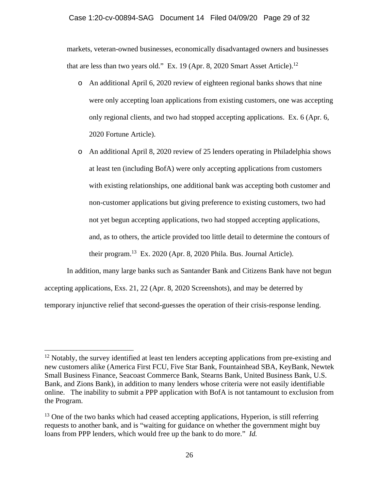#### Case 1:20-cv-00894-SAG Document 14 Filed 04/09/20 Page 29 of 32

markets, veteran-owned businesses, economically disadvantaged owners and businesses that are less than two years old." Ex. 19 (Apr. 8, 2020 Smart Asset Article).<sup>12</sup>

- o An additional April 6, 2020 review of eighteen regional banks shows that nine were only accepting loan applications from existing customers, one was accepting only regional clients, and two had stopped accepting applications. Ex. 6 (Apr. 6, 2020 Fortune Article).
- o An additional April 8, 2020 review of 25 lenders operating in Philadelphia shows at least ten (including BofA) were only accepting applications from customers with existing relationships, one additional bank was accepting both customer and non-customer applications but giving preference to existing customers, two had not yet begun accepting applications, two had stopped accepting applications, and, as to others, the article provided too little detail to determine the contours of their program.13 Ex. 2020 (Apr. 8, 2020 Phila. Bus. Journal Article).

In addition, many large banks such as Santander Bank and Citizens Bank have not begun accepting applications, Exs. 21, 22 (Apr. 8, 2020 Screenshots), and may be deterred by temporary injunctive relief that second-guesses the operation of their crisis-response lending.

<sup>&</sup>lt;sup>12</sup> Notably, the survey identified at least ten lenders accepting applications from pre-existing and new customers alike (America First FCU, Five Star Bank, Fountainhead SBA, KeyBank, Newtek Small Business Finance, Seacoast Commerce Bank, Stearns Bank, United Business Bank, U.S. Bank, and Zions Bank), in addition to many lenders whose criteria were not easily identifiable online. The inability to submit a PPP application with BofA is not tantamount to exclusion from the Program.

<sup>&</sup>lt;sup>13</sup> One of the two banks which had ceased accepting applications, Hyperion, is still referring requests to another bank, and is "waiting for guidance on whether the government might buy loans from PPP lenders, which would free up the bank to do more." *Id.*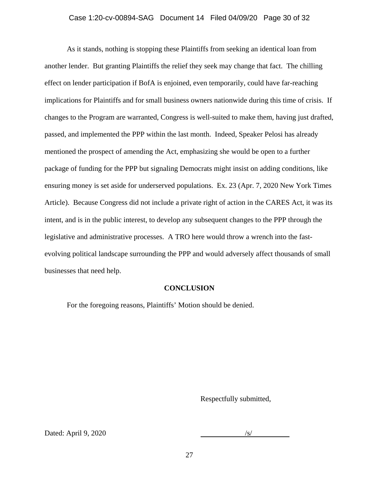#### Case 1:20-cv-00894-SAG Document 14 Filed 04/09/20 Page 30 of 32

As it stands, nothing is stopping these Plaintiffs from seeking an identical loan from another lender. But granting Plaintiffs the relief they seek may change that fact. The chilling effect on lender participation if BofA is enjoined, even temporarily, could have far-reaching implications for Plaintiffs and for small business owners nationwide during this time of crisis. If changes to the Program are warranted, Congress is well-suited to make them, having just drafted, passed, and implemented the PPP within the last month. Indeed, Speaker Pelosi has already mentioned the prospect of amending the Act, emphasizing she would be open to a further package of funding for the PPP but signaling Democrats might insist on adding conditions, like ensuring money is set aside for underserved populations. Ex. 23 (Apr. 7, 2020 New York Times Article).Because Congress did not include a private right of action in the CARES Act, it was its intent, and is in the public interest, to develop any subsequent changes to the PPP through the legislative and administrative processes. A TRO here would throw a wrench into the fastevolving political landscape surrounding the PPP and would adversely affect thousands of small businesses that need help.

#### **CONCLUSION**

For the foregoing reasons, Plaintiffs' Motion should be denied.

Respectfully submitted,

Dated: April 9, 2020 /s/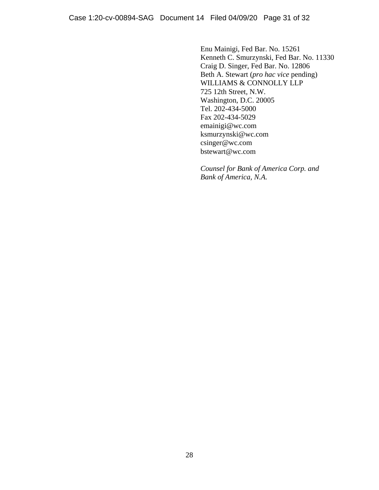Enu Mainigi, Fed Bar. No. 15261 Kenneth C. Smurzynski, Fed Bar. No. 11330 Craig D. Singer, Fed Bar. No. 12806 Beth A. Stewart (*pro hac vice* pending) WILLIAMS & CONNOLLY LLP 725 12th Street, N.W. Washington, D.C. 20005 Tel. 202-434-5000 Fax 202-434-5029 emainigi@wc.com ksmurzynski@wc.com csinger@wc.com bstewart@wc.com

*Counsel for Bank of America Corp. and Bank of America, N.A.*